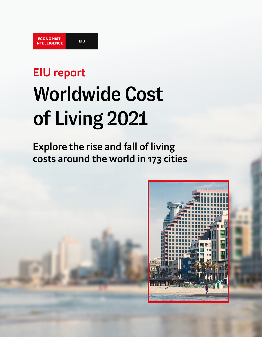# EIU report Worldwide Cost of Living 2021

Explore the rise and fall of living costs around the world in 173 cities

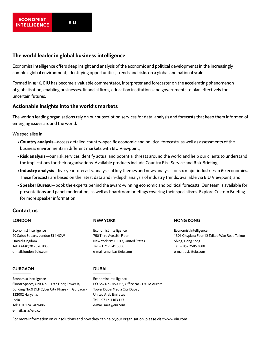#### **ECONOMIST EIU INTELLIGENCE**

# **The world leader in global business intelligence**

Economist Intelligence offers deep insight and analysis of the economic and political developments in the increasingly complex global environment, identifying opportunities, trends and risks on a global and national scale.

Formed in 1946, EIU has become a valuable commentator, interpreter and forecaster on the accelerating phenomenon of globalisation, enabling businesses, financial firms, education institutions and governments to plan effectively for uncertain futures.

# **Actionable insights into the world's markets**

The world's leading organisations rely on our subscription services for data, analysis and forecasts that keep them informed of emerging issues around the world.

We specialise in:

- **• Country analysis**—access detailed country-specific economic and political forecasts, as well as assessments of the business environments in different markets with EIU Viewpoint;
- **• Risk analysis**—our risk services identify actual and potential threats around the world and help our clients to understand the implications for their organisations. Available products include Country Risk Service and Risk Briefing;
- **• Industry analysis**—five-year forecasts, analysis of key themes and news analysis for six major industries in 60 economies. These forecasts are based on the latest data and in-depth analysis of industry trends, available via EIU Viewpoint; and
- **• Speaker Bureau**—book the experts behind the award-winning economic and political forecasts. Our team is available for presentations and panel moderation, as well as boardroom briefings covering their specialisms. Explore Custom Briefing for more speaker information.

# Contact us

## LONDON

Economist Intelligence 20 Cabot Square, London E14 4QW, United Kingdom Tel: +44 (0)20 7576 8000 e-mail: london@eiu.com

#### GURGAON

Economist Intelligence Skootr Spaces, Unit No. 1 12th Floor, Tower B, Building No. 9 DLF Cyber City, Phase - III Gurgaon - 122002 Haryana, India Tel: +91 124 6409486 e-mail: asia@eiu.com

## NEW YORK

Economist Intelligence 750 Third Ave, 5th Floor, New York NY 10017, United States Tel: +1 212 541 0500 e-mail: americas@eiu.com

# HONG KONG

Economist Intelligence 1301 Cityplaza Four 12 Taikoo Wan Road Taikoo Shing, Hong Kong Tel: + 852 2585 3888 e-mail: asia@eiu.com

## DUBAI

Economist Intelligence PO Box No - 450056, Office No - 1301A Aurora Tower Dubai Media City Dubai, United Arab Emirates Tel: +971 4 4463 147 e-mail: mea@eiu.com

For more information on our solutions and how they can help your organisation, please visit [www.eiu.com](http://www.eiu.com/n/)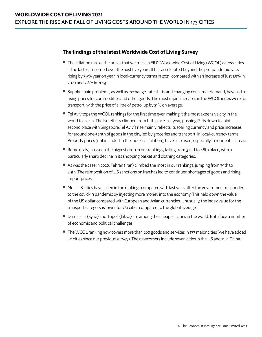# **The findings of the latest Worldwide Cost of Living Survey**

- **•** The inflation rate of the prices that we track in EIU's Worldwide Cost of Living (WCOL) across cities is the fastest recorded over the past five years. It has accelerated beyond the pre-pandemic rate, rising by 3.5% year on year in local-currency terms in 2021, compared with an increase of just 1.9% in 2020 and 2.8% in 2019.
- **•** Supply-chain problems, as well as exchange-rate shifts and changing consumer demand, have led to rising prices for commodities and other goods. The most rapid increases in the WCOL index were for transport, with the price of a litre of petrol up by 21% on average.
- **•** Tel Aviv tops the WCOL rankings for the first time ever, making it the most expensive city in the world to live in. The Israeli city climbed from fifth place last year, pushing Paris down to joint second place with Singapore.Tel Aviv's rise mainly reflects its soaring currency and price increases for around one-tenth of goods in the city, led by groceries and transport, in local-currency terms. Property prices (not included in the index calculation), have also risen, especially in residential areas.
- **•** Rome (Italy) has seen the biggest drop in our rankings, falling from 32nd to 48th place, with a particularly sharp decline in its shopping basket and clothing categories.
- **•** As was the case in 2020, Tehran (Iran) climbed the most in our rankings, jumping from 79th to 29th. The reimposition of US sanctions on Iran has led to continued shortages of goods and rising import prices.
- **•** Most US cities have fallen in the rankings compared with last year, after the government responded to the covid-19 pandemic by injecting more money into the economy. This held down the value of the US dollar compared with European and Asian currencies. Unusually, the index value for the transport category is lower for US cities compared to the global average.
- **•** Damascus (Syria) and Tripoli (Libya) are among the cheapest cities in the world. Both face a number of economic and political challenges.
- **•** The WCOL ranking now covers more than 200 goods and services in 173 major cities (we have added 40 cities since our previous survey). The newcomers include seven cities in the US and 11 in China.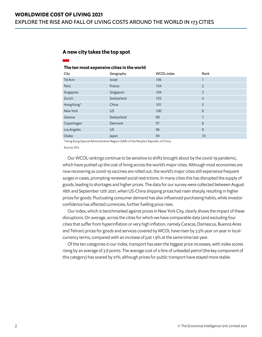## **A new city takes the top spot**

#### The ten most expensive cities in the world

| Geography     | <b>WCOL</b> index | Rank           |
|---------------|-------------------|----------------|
| <b>Israel</b> | 106               |                |
| France        | 104               | $\overline{2}$ |
| Singapore     | 104               | $\overline{2}$ |
| Switzerland   | 103               | $\overline{4}$ |
| China         | 101               | 5              |
| <b>US</b>     | 100               | 6              |
| Switzerland   | 99                | 7              |
| Denmark       | 97                | 8              |
| <b>US</b>     | 96                | 9              |
| Japan         | 94                | 10             |
|               |                   |                |

\*Hong Kong Special Administrative Region (SAR) of the People's Republic of China

Source: EIU.

Our WCOL rankings continue to be sensitive to shifts brought about by the covid-19 pandemic, which have pushed up the cost of living across the world's major cities. Although most economies are now recovering as covid-19 vaccines are rolled out, the world's major cities still experience frequent surges in cases, prompting renewed social restrictions. In many cities this has disrupted the supply of goods, leading to shortages and higher prices. The data for our survey were collected between August 16th and September 12th 2021, when US-China shipping prices had risen sharply, resulting in higher prices for goods. Fluctuating consumer demand has also influenced purchasing habits, while investor confidence has affected currencies, further fuelling price rises.

Our index, which is benchmarked against prices in New York City, clearly shows the impact of these disruptions. On average, across the cities for which we have comparable data (and excluding four cities that suffer from hyperinflation or very high inflation, namely Caracas, Damascus, Buenos Aires and Tehran) prices for goods and services covered by WCOL have risen by 3.5% year on year in localcurrency terms, compared with an increase of just 1.9% at the same time last year.

Of the ten categories in our index, transport has seen the biggest price increases, with index scores rising by an average of 3.8 points. The average cost of a litre of unleaded petrol (the key component of this category) has soared by 21%, although prices for public transport have stayed more stable.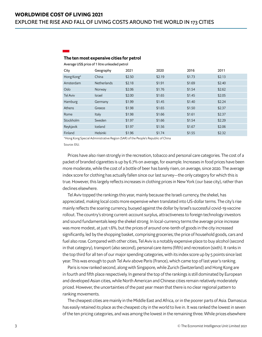## The ten most expensive cities for petrol

Average US\$ price of 1 litre unleaded petrol

| City            | Geography          | 2021   | 2020   | 2016   | 2011   |
|-----------------|--------------------|--------|--------|--------|--------|
| Hong Kong*      | China              | \$2.50 | \$2.19 | \$1.73 | \$2.13 |
| Amsterdam       | <b>Netherlands</b> | \$2.18 | \$1.91 | \$1.69 | \$2.40 |
| Oslo            | Norway             | \$2.06 | \$1.76 | \$1.54 | \$2.62 |
| <b>Tel Aviv</b> | <b>Israel</b>      | \$2.00 | \$1.65 | \$1.45 | \$2.05 |
| Hamburg         | Germany            | \$1.99 | \$1.45 | \$1.40 | \$2.24 |
| Athens          | Greece             | \$1.98 | \$1.65 | \$1.50 | \$2.37 |
| Rome            | Italy              | \$1.98 | \$1.66 | \$1.61 | \$2.37 |
| Stockholm       | Sweden             | \$1.97 | \$1.66 | \$1.54 | \$2.29 |
| Reykjavik       | Iceland            | \$1.97 | \$1.56 | \$1.67 | \$2.06 |
| Finland         | Helsinki           | \$1.96 | \$1.74 | \$1.55 | \$2.32 |

\*Hong Kong Special Administrative Region (SAR) of the People's Republic of China

Source: EIU.

Prices have also risen strongly in the recreation, tobacco and personal care categories. The cost of a packet of branded cigarettes is up by 6.7% on average, for example. Increases in food prices have been more moderate, while the cost of a bottle of beer has barely risen, on average, since 2020. The average index score for clothing has actually fallen since our last survey—the only category for which this is true. However, this largely reflects increases in clothing prices in New York (our base city), rather than declines elsewhere.

Tel Aviv topped the rankings this year, mainly because the Israeli currency, the shekel, has appreciated, making local costs more expensive when translated into US-dollar terms. The city's rise mainly reflects the soaring currency, buoyed against the dollar by Israel's successful covid-19 vaccine rollout. The country's strong current-account surplus, attractiveness to foreign technology investors and sound fundamentals keep the shekel strong. In local-currency terms the average price increase was more modest, at just 1.6%, but the prices of around one-tenth of goods in the city increased significantly, led by the shopping basket, comprising groceries; the price of household goods, cars and fuel also rose. Compared with other cities, Tel Aviv is a notably expensive place to buy alcohol (second in that category), transport (also second), personal care items (fifth) and recreation (sixth). It ranks in the top third for all ten of our major spending categories, with its index score up by 5 points since last year. This was enough to push Tel Aviv above Paris (France), which came top of last year's ranking.

Paris is now ranked second, along with Singapore, while Zurich (Switzerland) and Hong Kong are in fourth and fifth place respectively. In general the top of the rankings is still dominated by European and developed Asian cities, while North American and Chinese cities remain relatively moderately priced. However, the uncertainties of the past year mean that there is no clear regional pattern to ranking movements.

The cheapest cities are mainly in the Middle East and Africa, or in the poorer parts of Asia. Damascus has easily retained its place as the cheapest city in the world to live in. It was ranked the lowest in seven of the ten pricing categories, and was among the lowest in the remaining three. While prices elsewhere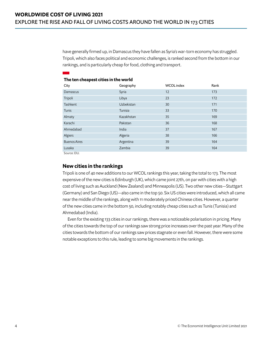have generally firmed up, in Damascus they have fallen as Syria's war-torn economy has struggled. Tripoli, which also faces political and economic challenges, is ranked second from the bottom in our rankings, and is particularly cheap for food, clothing and transport.

| City                                             | Geography  | <b>WCOL</b> index | Rank |
|--------------------------------------------------|------------|-------------------|------|
| Damascus                                         | Syria      | 12                | 173  |
| Tripoli                                          | Libya      | 23                | 172  |
| Tashkent                                         | Uzbekistan | 30                | 171  |
| Tunis                                            | Tunisia    | 33                | 170  |
| Almaty                                           | Kazakhstan | 35                | 169  |
| Karachi                                          | Pakistan   | 36                | 168  |
| Ahmedabad                                        | India      | 37                | 167  |
| Algiers                                          | Algeria    | 38                | 166  |
| <b>Buenos Aires</b>                              | Argentina  | 39                | 164  |
| Lusaka                                           | Zambia     | 39                | 164  |
| $\sim$ $\sim$ $\sim$ $\sim$ $\sim$ $\sim$ $\sim$ |            |                   |      |

#### The ten cheapest cities in the world

Source: EIU.

# **New cities in the rankings**

Tripoli is one of 40 new additions to our WCOL rankings this year, taking the total to 173. The most expensive of the new cities is Edinburgh (UK), which came joint 27th, on par with cities with a high cost of living such as Auckland (New Zealand) and Minneapolis (US). Two other new cities—Stuttgart (Germany) and San Diego (US)—also came in the top 50. Six US cities were introduced, which all came near the middle of the rankings, along with 11 moderately priced Chinese cities. However, a quarter of the new cities came in the bottom 50, including notably cheap cities such as Tunis (Tunisia) and Ahmedabad (India).

Even for the existing 133 cities in our rankings, there was a noticeable polarisation in pricing. Many of the cities towards the top of our rankings saw strong price increases over the past year. Many of the cities towards the bottom of our rankings saw prices stagnate or even fall. However, there were some notable exceptions to this rule, leading to some big movements in the rankings.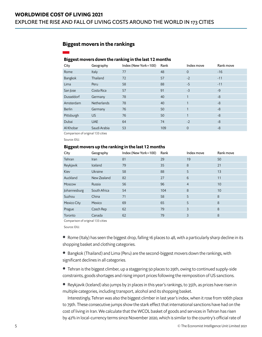# **Biggest movers in the rankings**

#### Biggest movers down the ranking in the last 12 months

| City              | Geography    | Index (New York=100) | Rank | Index move     | Rank move |
|-------------------|--------------|----------------------|------|----------------|-----------|
| Rome              | Italy        | 77                   | 48   | $\overline{0}$ | $-16$     |
| Bangkok           | Thailand     | 72                   | 57   | $-2$           | $-11$     |
| Lima              | Peru         | 58                   | 88   | $-5$           | $-11$     |
| San Jose          | Costa Rica   | 57                   | 91   | $-3$           | $-9$      |
| <b>Dusseldorf</b> | Germany      | 78                   | 40   | 1              | -8        |
| Amsterdam         | Netherlands  | 78                   | 40   | 1              | $-8$      |
| <b>Berlin</b>     | Germany      | 76                   | 50   | 1              | $-8$      |
| Pittsburgh        | US.          | 76                   | 50   | 1              | $-8$      |
| Dubai             | <b>UAE</b>   | 64                   | 74   | $-2$           | $-8$      |
| Al Khobar         | Saudi Arabia | 53                   | 109  | $\mathbf 0$    | $-8$      |
|                   |              |                      |      |                |           |

Comparison of original 133 cities

Source: EIU.

#### Biggest movers up the ranking in the last 12 months

| City         | Geography    | Index (New York=100) | Rank | Index move     | Rank move |
|--------------|--------------|----------------------|------|----------------|-----------|
| Tehran       | <b>Iran</b>  | 81                   | 29   | 19             | 50        |
| Reykjavik    | Iceland      | 79                   | 35   | 8              | 21        |
| Kiev         | Ukraine      | 58                   | 88   | 5              | 13        |
| Auckland     | New Zealand  | 82                   | 27   | 6              | 11        |
| Moscow       | Russia       | 56                   | 96   | $\overline{4}$ | 10        |
| Johannesburg | South Africa | 54                   | 104  | 8              | 10        |
| Suzhou       | China        | 71                   | 58   | 5              | 8         |
| Mexico City  | Mexico       | 69                   | 65   | 5              | 8         |
| Prague       | Czech Rep    | 62                   | 79   | 3              | 8         |
| Toronto      | Canada       | 62                   | 79   | 3              | 8         |

Comparison of original 133 cities

Source: EIU.

**•** Rome (Italy) has seen the biggest drop, falling 16 places to 48, with a particularly sharp decline in its shopping basket and clothing categories.

**•** Bangkok (Thailand) and Lima (Peru) are the second-biggest movers down the rankings, with significant declines in all categories.

**•** Tehran is the biggest climber, up a staggering 50 places to 29th, owing to continued supply-side constraints, goods shortages and rising import prices following the reimposition of US sanctions.

**•** Reykjavik (Iceland) also jumps by 21 places in this year's rankings, to 35th, as prices have risen in multiple categories, including transport, alcohol and its shopping basket.

Interestingly, Tehran was also the biggest climber in last year's index, when it rose from 106th place to 79th. These consecutive jumps show the stark effect that international sanctions have had on the cost of living in Iran. We calculate that the WCOL basket of goods and services in Tehran has risen by 42% in local-currency terms since November 2020, which is similar to the country's official rate of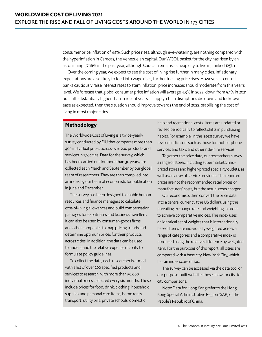consumer price inflation of 44%. Such price rises, although eye-watering, are nothing compared with the hyperinflation in Caracas, the Venezuelan capital. Our WCOL basket for the city has risen by an astonishing 1,766% in the past year, although Caracas remains a cheap city to live in, ranked 125th

Over the coming year, we expect to see the cost of living rise further in many cities. Inflationary expectations are also likely to feed into wage rises, further fuelling price rises. However, as central banks cautiously raise interest rates to stem inflation, price increases should moderate from this year's level. We forecast that global consumer price inflation will average 4.3% in 2022, down from 5.1% in 2021 but still substantially higher than in recent years. If supply-chain disruptions die down and lockdowns ease as expected, then the situation should improve towards the end of 2022, stabilising the cost of living in most major cities.

# **Methodology**

The Worldwide Cost of Living is a twice-yearly survey conducted by EIU that compares more than 400 individual prices across over 200 products and services in 173 cities. Data for the survey, which has been carried out for more than 30 years, are collected each March and September by our global team of researchers. They are then compiled into an index by our team of economists for publication in June and December.

The survey has been designed to enable human resources and finance managers to calculate cost-of-living allowances and build compensation packages for expatriates and business travellers. It can also be used by consumer-goods firms and other companies to map pricing trends and determine optimum prices for their products across cities. In addition, the data can be used to understand the relative expense of a city to formulate policy guidelines.

To collect the data, each researcher is armed with a list of over 200 specified products and services to research, with more than 50,000 individual prices collected every six months. These include prices for food, drink, clothing, household supplies and personal care items, home rents, transport, utility bills, private schools, domestic

help and recreational costs. Items are updated or revised periodically to reflect shifts in purchasing habits. For example, in the latest survey we have revised indicators such as those for mobile-phone services and taxis and other ride-hire services.

To gather the price data, our researchers survey a range of stores, including supermarkets, midpriced stores and higher-priced speciality outlets, as well as an array of service providers. The reported prices are not the recommended retail prices or manufacturers' costs, but the actual costs charged.

Our economists then convert the price data into a central currency (the US dollar), using the prevailing exchange rate and weighting in order to achieve comparative indices. The index uses an identical set of weights that is internationally based. Items are individually weighted across a range of categories and a comparative index is produced using the relative difference by weighted item. For the purposes of this report, all cities are compared with a base city, New York City, which has an index score of 100.

The survey can be accessed via the data tool or our purpose-built website; these allow for city-tocity comparisons.

Note: Data for Hong Kong refer to the Hong Kong Special Administrative Region (SAR) of the People's Republic of China.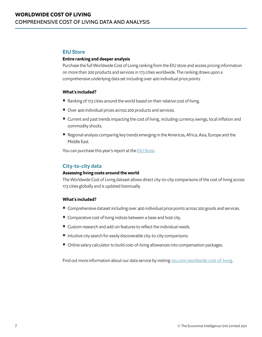## **EIU Store**

### **Entire ranking and deeper analysis**

Purchase the full Worldwide Cost of Living ranking from the EIU store and access pricing information on more than 200 products and services in 173 cities worldwide. The ranking draws upon a comprehensive underlying data set including over 400 individual price points.

#### **What's included?**

- **•** Ranking of 173 cities around the world based on their relative cost of living.
- **•** Over 400 individual prices across 200 products and services.
- **•** Current and past trends impacting the cost of living, including currency swings, local inflation and commodity shocks.
- **•** Regional analysis comparing key trends emerging in the Americas, Africa, Asia, Europe and the Middle East.

You can purchase this year's report at the [EIU Store.](https://store.eiu.com/products/special-reports)

# **City-to-city data**

#### **Assessing living costs around the world**

The Worldwide Cost of Living dataset allows direct city-to-city comparisons of the cost of living across 173 cities globally and is updated biannually.

## **What's included?**

- **•** Comprehensive dataset including over 400 individual price points across 200 goods and services.
- **•** Comparative cost of living indices between a base and host city.
- **•** Custom research and add-on features to reflect the individual needs.
- **•** Intuitive city search for easily discoverable city-to-city comparisons.
- **•** Online salary calculator to build cost-of-living allowances into compensation packages.

Find out more information about our data service by visiting: [eiu.com/worldwide-cost-of-living](https://www.eiu.com/n/solutions/worldwide-cost-of-living/).